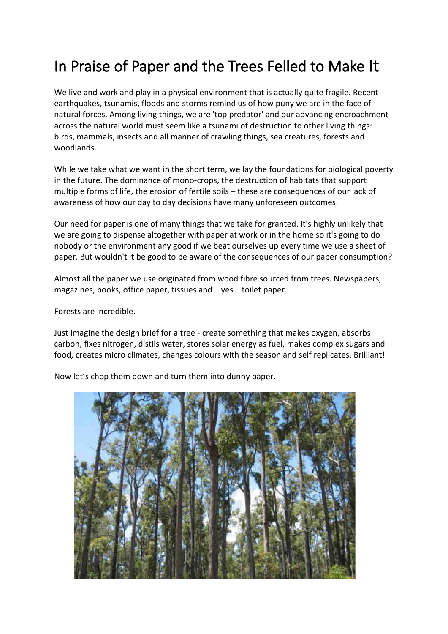## In Praise of Paper and the Trees Felled to Make It

We live and work and play in a physical environment that is actually quite fragile. Recent earthquakes, tsunamis, floods and storms remind us of how puny we are in the face of natural forces. Among living things, we are 'top predator' and our advancing encroachment across the natural world must seem like a tsunami of destruction to other living things: birds, mammals, insects and all manner of crawling things, sea creatures, forests and woodlands.

While we take what we want in the short term, we lay the foundations for biological poverty in the future. The dominance of mono-crops, the destruction of habitats that support multiple forms of life, the erosion of fertile soils – these are consequences of our lack of awareness of how our day to day decisions have many unforeseen outcomes.

Our need for paper is one of many things that we take for granted. It's highly unlikely that we are going to dispense altogether with paper at work or in the home so it's going to do nobody or the environment any good if we beat ourselves up every time we use a sheet of paper. But wouldn't it be good to be aware of the consequences of our paper consumption?

Almost all the paper we use originated from wood fibre sourced from trees. Newspapers, magazines, books, office paper, tissues and – yes – toilet paper.

Forests are incredible.

Just imagine the design brief for a tree - create something that makes oxygen, absorbs carbon, fixes nitrogen, distils water, stores solar energy as fuel, makes complex sugars and food, creates micro climates, changes colours with the season and self replicates. Brilliant!

Now let's chop them down and turn them into dunny paper.

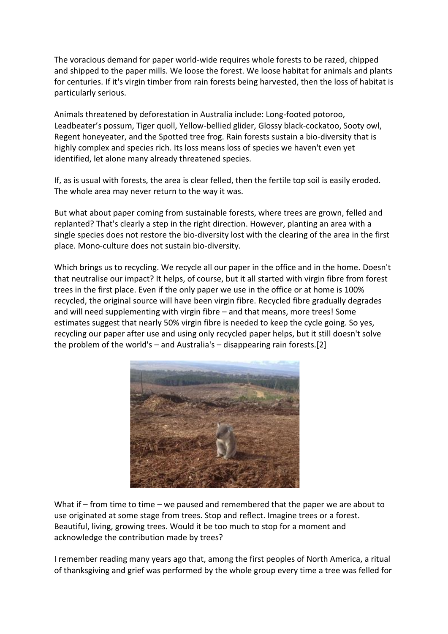The voracious demand for paper world-wide requires whole forests to be razed, chipped and shipped to the paper mills. We loose the forest. We loose habitat for animals and plants for centuries. If it's virgin timber from rain forests being harvested, then the loss of habitat is particularly serious.

Animals threatened by deforestation in Australia include: Long-footed potoroo, Leadbeater's possum, Tiger quoll, Yellow-bellied glider, Glossy black-cockatoo, Sooty owl, Regent honeyeater, and the Spotted tree frog. Rain forests sustain a bio-diversity that is highly complex and species rich. Its loss means loss of species we haven't even yet identified, let alone many already threatened species.

If, as is usual with forests, the area is clear felled, then the fertile top soil is easily eroded. The whole area may never return to the way it was.

But what about paper coming from sustainable forests, where trees are grown, felled and replanted? That's clearly a step in the right direction. However, planting an area with a single species does not restore the bio-diversity lost with the clearing of the area in the first place. Mono-culture does not sustain bio-diversity.

Which brings us to recycling. We recycle all our paper in the office and in the home. Doesn't that neutralise our impact? It helps, of course, but it all started with virgin fibre from forest trees in the first place. Even if the only paper we use in the office or at home is 100% recycled, the original source will have been virgin fibre. Recycled fibre gradually degrades and will need supplementing with virgin fibre – and that means, more trees! Some estimates suggest that nearly 50% virgin fibre is needed to keep the cycle going. So yes, recycling our paper after use and using only recycled paper helps, but it still doesn't solve the problem of the world's – and Australia's – disappearing rain forests.[2]



What if – from time to time – we paused and remembered that the paper we are about to use originated at some stage from trees. Stop and reflect. Imagine trees or a forest. Beautiful, living, growing trees. Would it be too much to stop for a moment and acknowledge the contribution made by trees?

I remember reading many years ago that, among the first peoples of North America, a ritual of thanksgiving and grief was performed by the whole group every time a tree was felled for